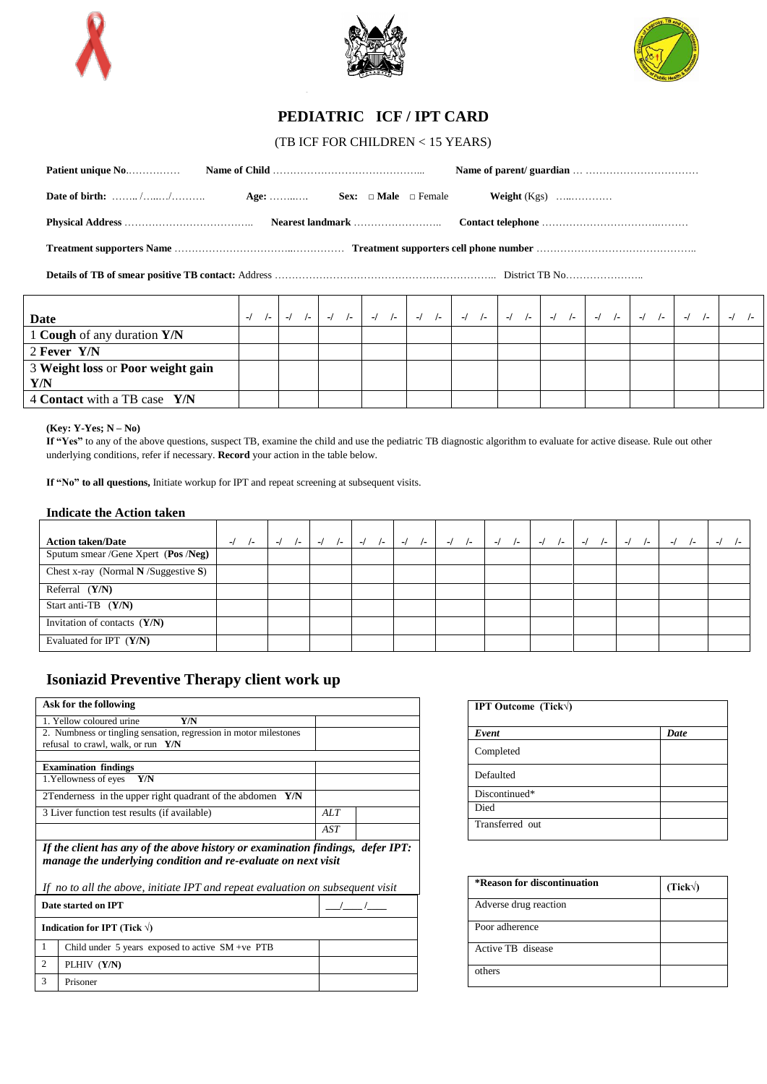





## **PEDIATRIC ICF / IPT CARD**

(TB ICF FOR CHILDREN < 15 YEARS)

| Date of birth: $\ldots \ldots \ldots \ldots \ldots$ Age: $\ldots \ldots \ldots$ Sex: $\Box$ Male $\Box$ Female |  |  |
|----------------------------------------------------------------------------------------------------------------|--|--|
|                                                                                                                |  |  |
|                                                                                                                |  |  |
|                                                                                                                |  |  |

| Date                              | $-1$ $-1$ |  |  |  |  |  | -1 1-   -1 1-   -1 1-   -1 1-   -1 1-   -1 1-   -1 1-   -1 1- |  |  |  |  |  |
|-----------------------------------|-----------|--|--|--|--|--|---------------------------------------------------------------|--|--|--|--|--|
| 1 Cough of any duration Y/N       |           |  |  |  |  |  |                                                               |  |  |  |  |  |
| 2 Fever Y/N                       |           |  |  |  |  |  |                                                               |  |  |  |  |  |
| 3 Weight loss or Poor weight gain |           |  |  |  |  |  |                                                               |  |  |  |  |  |
| Y/N                               |           |  |  |  |  |  |                                                               |  |  |  |  |  |
| 4 Contact with a TB case Y/N      |           |  |  |  |  |  |                                                               |  |  |  |  |  |

**(Key: Y-Yes; N – No)** 

**If "Yes"** to any of the above questions, suspect TB, examine the child and use the pediatric TB diagnostic algorithm to evaluate for active disease. Rule out other underlying conditions, refer if necessary. **Record** your action in the table below.

**If "No" to all questions,** Initiate workup for IPT and repeat screening at subsequent visits.

## **Indicate the Action taken**

| <b>Action taken/Date</b>             | $-I$<br>$\sqrt{2}$ | $-I$<br>$\sqrt{2}$ | $-I$<br>$\sqrt{2}$ | $\sqrt{-}$<br>$-I$ | $\sqrt{2}$ | $\mathcal{L}$<br>$\sqrt{2}$ | $-I$<br>$\sqrt{2}$ | $\sqrt{2}$<br>$-I$ | $-I$<br>$\sqrt{2}$ | $-I$<br>$\sqrt{2}$ | $-I$ | $\blacksquare$<br>ı., |
|--------------------------------------|--------------------|--------------------|--------------------|--------------------|------------|-----------------------------|--------------------|--------------------|--------------------|--------------------|------|-----------------------|
| Sputum smear /Gene Xpert (Pos /Neg)  |                    |                    |                    |                    |            |                             |                    |                    |                    |                    |      |                       |
| Chest x-ray (Normal $N/Suggestion$ ) |                    |                    |                    |                    |            |                             |                    |                    |                    |                    |      |                       |
| Referral $(Y/N)$                     |                    |                    |                    |                    |            |                             |                    |                    |                    |                    |      |                       |
| Start anti-TB $(Y/N)$                |                    |                    |                    |                    |            |                             |                    |                    |                    |                    |      |                       |
| Invitation of contacts $(Y/N)$       |                    |                    |                    |                    |            |                             |                    |                    |                    |                    |      |                       |
| Evaluated for IPT $(Y/N)$            |                    |                    |                    |                    |            |                             |                    |                    |                    |                    |      |                       |

## **Isoniazid Preventive Therapy client work up**

|                                                                                                                                                                                                                                   | Ask for the following                                             |     |  |  |  |  |  |  |  |
|-----------------------------------------------------------------------------------------------------------------------------------------------------------------------------------------------------------------------------------|-------------------------------------------------------------------|-----|--|--|--|--|--|--|--|
|                                                                                                                                                                                                                                   | 1. Yellow coloured urine<br>Y/N                                   |     |  |  |  |  |  |  |  |
|                                                                                                                                                                                                                                   | 2. Numbness or tingling sensation, regression in motor milestones |     |  |  |  |  |  |  |  |
|                                                                                                                                                                                                                                   | refusal to crawl, walk, or run $Y/N$                              |     |  |  |  |  |  |  |  |
|                                                                                                                                                                                                                                   |                                                                   |     |  |  |  |  |  |  |  |
|                                                                                                                                                                                                                                   | <b>Examination findings</b>                                       |     |  |  |  |  |  |  |  |
|                                                                                                                                                                                                                                   | 1. Yellowness of eyes<br>Y/N                                      |     |  |  |  |  |  |  |  |
|                                                                                                                                                                                                                                   | 2Tenderness in the upper right quadrant of the abdomen<br>Y/N     |     |  |  |  |  |  |  |  |
|                                                                                                                                                                                                                                   | 3 Liver function test results (if available)                      | ALT |  |  |  |  |  |  |  |
|                                                                                                                                                                                                                                   |                                                                   | AST |  |  |  |  |  |  |  |
| If the client has any of the above history or examination findings, defer IPT:<br>manage the underlying condition and re-evaluate on next visit<br>If no to all the above, initiate IPT and repeat evaluation on subsequent visit |                                                                   |     |  |  |  |  |  |  |  |
|                                                                                                                                                                                                                                   | Date started on IPT                                               |     |  |  |  |  |  |  |  |
|                                                                                                                                                                                                                                   | Indication for IPT (Tick $\forall$ )                              |     |  |  |  |  |  |  |  |
| 1                                                                                                                                                                                                                                 | Child under $5$ years exposed to active $SM +ve$ PTB              |     |  |  |  |  |  |  |  |
| $\mathfrak{D}$                                                                                                                                                                                                                    | PLHIV (Y/N)                                                       |     |  |  |  |  |  |  |  |
| 3                                                                                                                                                                                                                                 | Prisoner                                                          |     |  |  |  |  |  |  |  |

| <b>IPT Outcome (Tick)</b> |      |  |  |  |  |  |  |  |
|---------------------------|------|--|--|--|--|--|--|--|
| Event                     | Date |  |  |  |  |  |  |  |
| Completed                 |      |  |  |  |  |  |  |  |
| Defaulted                 |      |  |  |  |  |  |  |  |
| Discontinued*             |      |  |  |  |  |  |  |  |
| Died                      |      |  |  |  |  |  |  |  |
| Transferred out           |      |  |  |  |  |  |  |  |

| *Reason for discontinuation | (Tick) |
|-----------------------------|--------|
| Adverse drug reaction       |        |
| Poor adherence              |        |
| Active TB disease           |        |
| others                      |        |